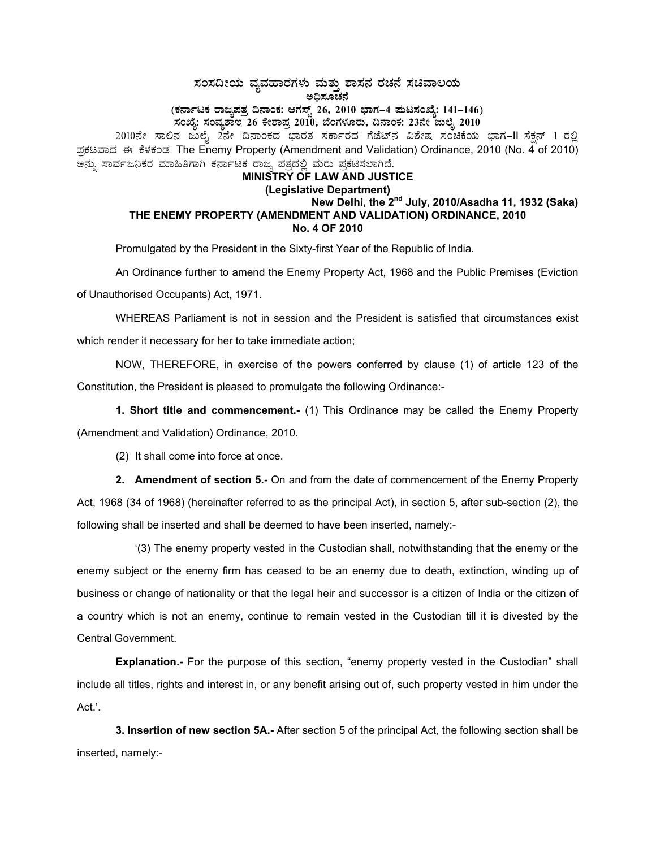**¸ÀA¸À¢ÃAiÀÄ ªÀåªÀºÁgÀUÀ¼ÀÄ ªÀÄvÀÄÛ ±Á¸À£À gÀZÀ£É ¸ÀaªÁ®AiÀÄ C¢ü¸ÀÆZÀ£É**  (ಕರ್ನಾಟಕ ರಾಜ್ಯಪತ್ರ ದಿನಾಂಕ: ಆಗಸ್ಟ್ 26, 2010 ಭಾಗ–4 **ಮಟಸಂಖ್ಯೆ: 141–146**) **¸ÀASÉå: ¸ÀAªÀå±ÁE 26 PÉñÁ¥Àæ 2010, ¨ÉAUÀ¼ÀÆgÀÄ, ¢£ÁAPÀ: 23£Éà dįÉÊ 2010**  2010ನೇ ಸಾಲಿನ ಜುಲೈ 2ನೇ ದಿನಾಂಕದ ಫಾರತ ಸರ್ಕಾರದ ಗೆಜೆಟ್ನ ವಿಶೇಷ ಸಂಚೆಕೆಯ ಭಾಗ–II ಸೆಕ್ಷನ್ 1 ರಲ್ಲಿ ಪ್ರಕಟವಾದ ಈ ಕೆಳಕಂಡ The Enemy Property (Amendment and Validation) Ordinance, 2010 (No. 4 of 2010) ಅನ್ನು ಸಾರ್ವಜನಿಕರ ಮಾಹಿತಿಗಾಗಿ ಕರ್ನಾಟಕ ರಾಜ್ಯ ಪತ್ರದಲ್ಲಿ ಮರು ಪ್ರಕಟಿಸಲಾಗಿದೆ. **MINISTRY OF LAW AND JUSTICE (Legislative Department)** 

## **New Delhi, the 2nd July, 2010/Asadha 11, 1932 (Saka) THE ENEMY PROPERTY (AMENDMENT AND VALIDATION) ORDINANCE, 2010 No. 4 OF 2010**

Promulgated by the President in the Sixty-first Year of the Republic of India.

An Ordinance further to amend the Enemy Property Act, 1968 and the Public Premises (Eviction of Unauthorised Occupants) Act, 1971.

WHEREAS Parliament is not in session and the President is satisfied that circumstances exist which render it necessary for her to take immediate action;

NOW, THEREFORE, in exercise of the powers conferred by clause (1) of article 123 of the Constitution, the President is pleased to promulgate the following Ordinance:-

**1. Short title and commencement.-** (1) This Ordinance may be called the Enemy Property (Amendment and Validation) Ordinance, 2010.

(2) It shall come into force at once.

**2. Amendment of section 5.-** On and from the date of commencement of the Enemy Property Act, 1968 (34 of 1968) (hereinafter referred to as the principal Act), in section 5, after sub-section (2), the following shall be inserted and shall be deemed to have been inserted, namely:-

 '(3) The enemy property vested in the Custodian shall, notwithstanding that the enemy or the enemy subject or the enemy firm has ceased to be an enemy due to death, extinction, winding up of business or change of nationality or that the legal heir and successor is a citizen of India or the citizen of a country which is not an enemy, continue to remain vested in the Custodian till it is divested by the Central Government.

**Explanation.-** For the purpose of this section, "enemy property vested in the Custodian" shall include all titles, rights and interest in, or any benefit arising out of, such property vested in him under the Act.'.

**3. Insertion of new section 5A.-** After section 5 of the principal Act, the following section shall be inserted, namely:-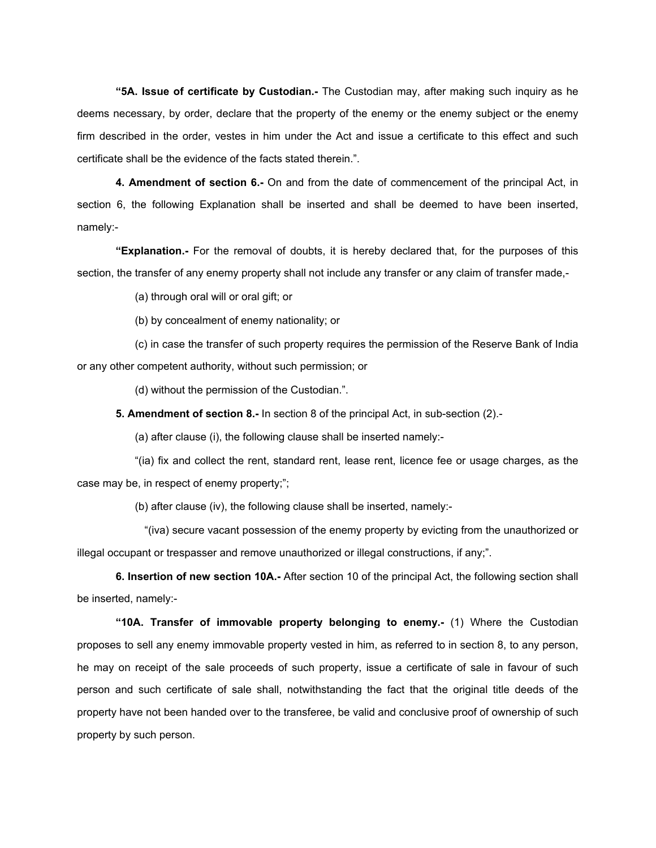**"5A. Issue of certificate by Custodian.-** The Custodian may, after making such inquiry as he deems necessary, by order, declare that the property of the enemy or the enemy subject or the enemy firm described in the order, vestes in him under the Act and issue a certificate to this effect and such certificate shall be the evidence of the facts stated therein.".

**4. Amendment of section 6.-** On and from the date of commencement of the principal Act, in section 6, the following Explanation shall be inserted and shall be deemed to have been inserted, namely:-

**"Explanation.-** For the removal of doubts, it is hereby declared that, for the purposes of this section, the transfer of any enemy property shall not include any transfer or any claim of transfer made,-

(a) through oral will or oral gift; or

(b) by concealment of enemy nationality; or

 (c) in case the transfer of such property requires the permission of the Reserve Bank of India or any other competent authority, without such permission; or

(d) without the permission of the Custodian.".

**5. Amendment of section 8.-** In section 8 of the principal Act, in sub-section (2).-

(a) after clause (i), the following clause shall be inserted namely:-

 "(ia) fix and collect the rent, standard rent, lease rent, licence fee or usage charges, as the case may be, in respect of enemy property;";

(b) after clause (iv), the following clause shall be inserted, namely:-

 "(iva) secure vacant possession of the enemy property by evicting from the unauthorized or illegal occupant or trespasser and remove unauthorized or illegal constructions, if any;".

**6. Insertion of new section 10A.-** After section 10 of the principal Act, the following section shall be inserted, namely:-

**"10A. Transfer of immovable property belonging to enemy.-** (1) Where the Custodian proposes to sell any enemy immovable property vested in him, as referred to in section 8, to any person, he may on receipt of the sale proceeds of such property, issue a certificate of sale in favour of such person and such certificate of sale shall, notwithstanding the fact that the original title deeds of the property have not been handed over to the transferee, be valid and conclusive proof of ownership of such property by such person.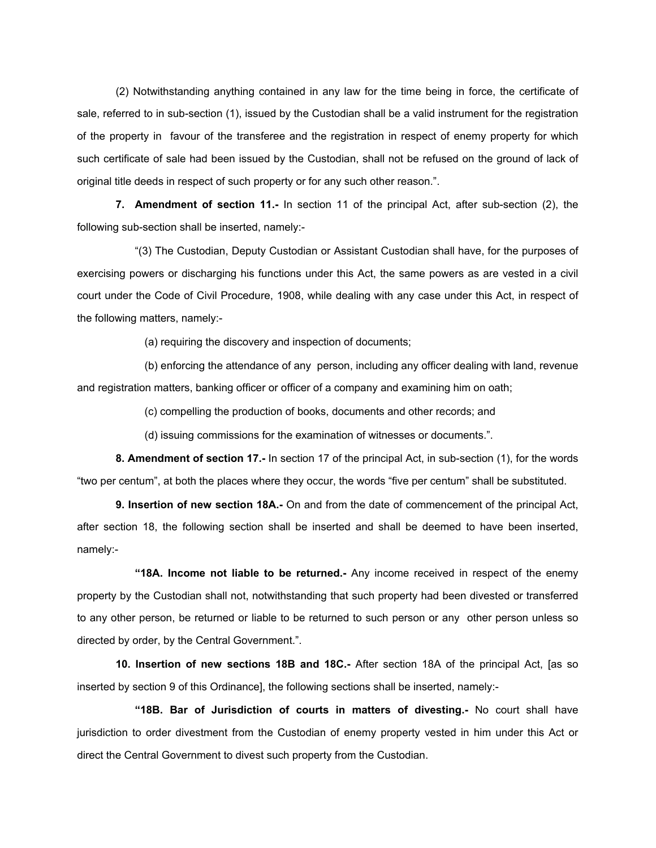(2) Notwithstanding anything contained in any law for the time being in force, the certificate of sale, referred to in sub-section (1), issued by the Custodian shall be a valid instrument for the registration of the property in favour of the transferee and the registration in respect of enemy property for which such certificate of sale had been issued by the Custodian, shall not be refused on the ground of lack of original title deeds in respect of such property or for any such other reason.".

**7. Amendment of section 11.-** In section 11 of the principal Act, after sub-section (2), the following sub-section shall be inserted, namely:-

 "(3) The Custodian, Deputy Custodian or Assistant Custodian shall have, for the purposes of exercising powers or discharging his functions under this Act, the same powers as are vested in a civil court under the Code of Civil Procedure, 1908, while dealing with any case under this Act, in respect of the following matters, namely:-

(a) requiring the discovery and inspection of documents;

 (b) enforcing the attendance of any person, including any officer dealing with land, revenue and registration matters, banking officer or officer of a company and examining him on oath;

(c) compelling the production of books, documents and other records; and

(d) issuing commissions for the examination of witnesses or documents.".

**8. Amendment of section 17.-** In section 17 of the principal Act, in sub-section (1), for the words "two per centum", at both the places where they occur, the words "five per centum" shall be substituted.

**9. Insertion of new section 18A.-** On and from the date of commencement of the principal Act, after section 18, the following section shall be inserted and shall be deemed to have been inserted, namely:-

 **"18A. Income not liable to be returned.-** Any income received in respect of the enemy property by the Custodian shall not, notwithstanding that such property had been divested or transferred to any other person, be returned or liable to be returned to such person or any other person unless so directed by order, by the Central Government.".

**10. Insertion of new sections 18B and 18C.-** After section 18A of the principal Act, [as so inserted by section 9 of this Ordinance], the following sections shall be inserted, namely:-

 **"18B. Bar of Jurisdiction of courts in matters of divesting.-** No court shall have jurisdiction to order divestment from the Custodian of enemy property vested in him under this Act or direct the Central Government to divest such property from the Custodian.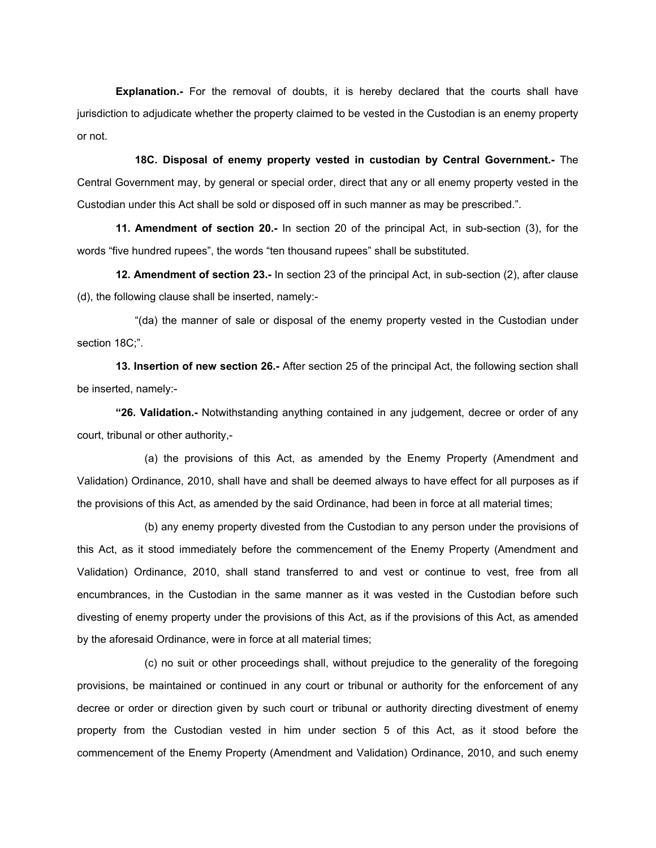**Explanation.-** For the removal of doubts, it is hereby declared that the courts shall have jurisdiction to adjudicate whether the property claimed to be vested in the Custodian is an enemy property or not.

 **18C. Disposal of enemy property vested in custodian by Central Government.-** The Central Government may, by general or special order, direct that any or all enemy property vested in the Custodian under this Act shall be sold or disposed off in such manner as may be prescribed.".

**11. Amendment of section 20.-** In section 20 of the principal Act, in sub-section (3), for the words "five hundred rupees", the words "ten thousand rupees" shall be substituted.

**12. Amendment of section 23.-** In section 23 of the principal Act, in sub-section (2), after clause (d), the following clause shall be inserted, namely:-

 "(da) the manner of sale or disposal of the enemy property vested in the Custodian under section 18C;".

**13. Insertion of new section 26.-** After section 25 of the principal Act, the following section shall be inserted, namely:-

**"26. Validation.-** Notwithstanding anything contained in any judgement, decree or order of any court, tribunal or other authority,-

 (a) the provisions of this Act, as amended by the Enemy Property (Amendment and Validation) Ordinance, 2010, shall have and shall be deemed always to have effect for all purposes as if the provisions of this Act, as amended by the said Ordinance, had been in force at all material times;

 (b) any enemy property divested from the Custodian to any person under the provisions of this Act, as it stood immediately before the commencement of the Enemy Property (Amendment and Validation) Ordinance, 2010, shall stand transferred to and vest or continue to vest, free from all encumbrances, in the Custodian in the same manner as it was vested in the Custodian before such divesting of enemy property under the provisions of this Act, as if the provisions of this Act, as amended by the aforesaid Ordinance, were in force at all material times;

 (c) no suit or other proceedings shall, without prejudice to the generality of the foregoing provisions, be maintained or continued in any court or tribunal or authority for the enforcement of any decree or order or direction given by such court or tribunal or authority directing divestment of enemy property from the Custodian vested in him under section 5 of this Act, as it stood before the commencement of the Enemy Property (Amendment and Validation) Ordinance, 2010, and such enemy